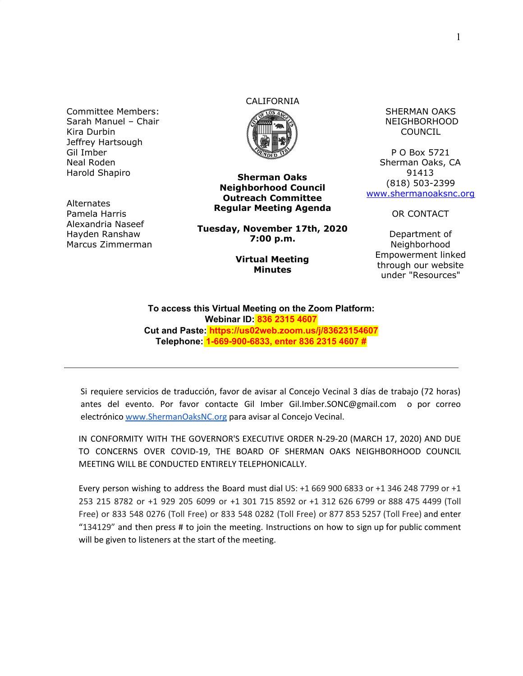Committee Members: Sarah Manuel – Chair Kira Durbin Jeffrey Hartsough Gil Imber Neal Roden Harold Shapiro

**Alternates** Pamela Harris Alexandria Naseef Hayden Ranshaw Marcus Zimmerman

# CALIFORNIA



**Sherman Oaks Neighborhood Council Outreach Committee Regular Meeting Agenda**

**Tuesday, November 17th, 2020 7:00 p.m.**

#### **Virtual Meeting Minutes**

SHERMAN OAKS NEIGHBORHOOD COUNCIL

P O Box 5721 Sherman Oaks, CA 91413 (818) 503-2399 [www.shermanoaksnc.org](http://www.shermanoaksnc.org/)

OR CONTACT

Department of Neighborhood Empowerment linked through our website under "Resources"

**To access this Virtual Meeting on the Zoom Platform: Webinar ID: 836 2315 4607 Cut and Paste: https://us02web.zoom.us/j/83623154607 Telephone: 1-669-900-6833, enter 836 2315 4607 #**

Si requiere servicios de traducción, favor de avisar al Concejo Vecinal 3 días de trabajo (72 horas) antes del evento. Por favor contacte Gil Imber Gil.Imber.SONC@gmail.com o por correo electrónico [www.ShermanOaksNC.org](http://www.shermanoaksnc.org/) para avisar al Concejo Vecinal.

IN CONFORMITY WITH THE GOVERNOR'S EXECUTIVE ORDER N-29-20 (MARCH 17, 2020) AND DUE TO CONCERNS OVER COVID-19, THE BOARD OF SHERMAN OAKS NEIGHBORHOOD COUNCIL MEETING WILL BE CONDUCTED ENTIRELY TELEPHONICALLY.

Every person wishing to address the Board must dial US: +1 669 900 6833 or +1 346 248 7799 or +1 253 215 8782 or +1 929 205 6099 or +1 301 715 8592 or +1 312 626 6799 or 888 475 4499 (Toll Free) or 833 548 0276 (Toll Free) or 833 548 0282 (Toll Free) or 877 853 5257 (Toll Free) and enter "134129" and then press # to join the meeting. Instructions on how to sign up for public comment will be given to listeners at the start of the meeting.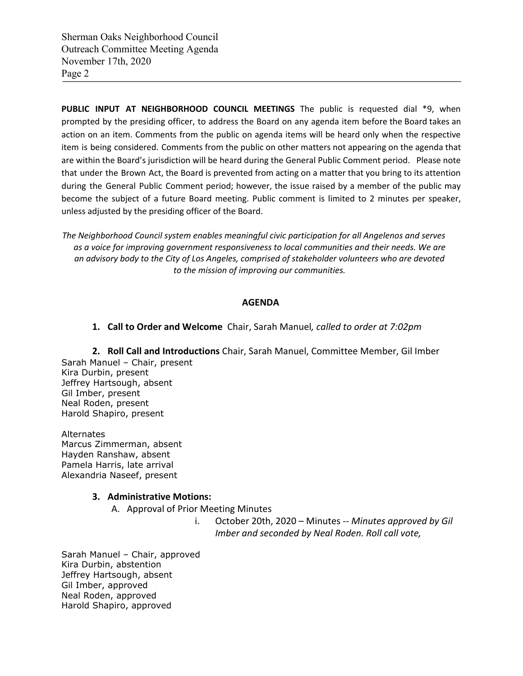Sherman Oaks Neighborhood Council Outreach Committee Meeting Agenda November 17th, 2020 Page 2

**PUBLIC INPUT AT NEIGHBORHOOD COUNCIL MEETINGS** The public is requested dial \*9, when prompted by the presiding officer, to address the Board on any agenda item before the Board takes an action on an item. Comments from the public on agenda items will be heard only when the respective item is being considered. Comments from the public on other matters not appearing on the agenda that are within the Board's jurisdiction will be heard during the General Public Comment period. Please note that under the Brown Act, the Board is prevented from acting on a matter that you bring to its attention during the General Public Comment period; however, the issue raised by a member of the public may become the subject of a future Board meeting. Public comment is limited to 2 minutes per speaker, unless adjusted by the presiding officer of the Board.

*The Neighborhood Council system enables meaningful civic participation for all Angelenos and serves as a voice for improving government responsiveness to local communities and their needs. We are an advisory body to the City of Los Angeles, comprised of stakeholder volunteers who are devoted to the mission of improving our communities.*

#### **AGENDA**

**1. Call to Order and Welcome** Chair, Sarah Manuel*, called to order at 7:02pm*

**2. Roll Call and Introductions** Chair, Sarah Manuel, Committee Member, Gil Imber Sarah Manuel – Chair, present Kira Durbin, present Jeffrey Hartsough, absent Gil Imber, present Neal Roden, present Harold Shapiro, present

Alternates Marcus Zimmerman, absent Hayden Ranshaw, absent Pamela Harris, late arrival Alexandria Naseef, present

#### **3. Administrative Motions:**

A. Approval of Prior Meeting Minutes

i. October 20th, 2020 – Minutes -- *Minutes approved by Gil Imber and seconded by Neal Roden. Roll call vote,*

Sarah Manuel – Chair, approved Kira Durbin, abstention Jeffrey Hartsough, absent Gil Imber, approved Neal Roden, approved Harold Shapiro, approved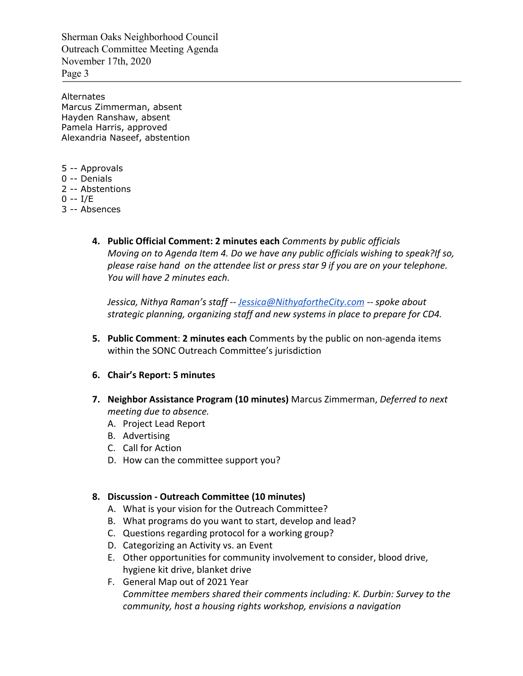Sherman Oaks Neighborhood Council Outreach Committee Meeting Agenda November 17th, 2020 Page 3

Alternates Marcus Zimmerman, absent Hayden Ranshaw, absent Pamela Harris, approved Alexandria Naseef, abstention

- 5 -- Approvals
- 0 -- Denials
- 2 -- Abstentions
- 0 -- I/E
- 3 -- Absences
	- **4. Public Official Comment: 2 minutes each** *Comments by public officials Moving on to Agenda Item 4. Do we have any public officials wishing to speak?If so, please raise hand on the attendee list or press star 9 if you are on your telephone. You will have 2 minutes each.*

*Jessica, Nithya Raman's staff -- [Jessica@NithyafortheCity.com](mailto:Jessica@NithyafortheCity.com) -- spoke about strategic planning, organizing staff and new systems in place to prepare for CD4.*

**5. Public Comment**: **2 minutes each** Comments by the public on non-agenda items within the SONC Outreach Committee's jurisdiction

### **6. Chair's Report: 5 minutes**

- **7. Neighbor Assistance Program (10 minutes)** Marcus Zimmerman, *Deferred to next meeting due to absence.*
	- A. Project Lead Report
	- B. Advertising
	- C. Call for Action
	- D. How can the committee support you?

### **8. Discussion - Outreach Committee (10 minutes)**

- A. What is your vision for the Outreach Committee?
- B. What programs do you want to start, develop and lead?
- C. Questions regarding protocol for a working group?
- D. Categorizing an Activity vs. an Event
- E. Other opportunities for community involvement to consider, blood drive, hygiene kit drive, blanket drive
- F. General Map out of 2021 Year *Committee members shared their comments including: K. Durbin: Survey to the community, host a housing rights workshop, envisions a navigation*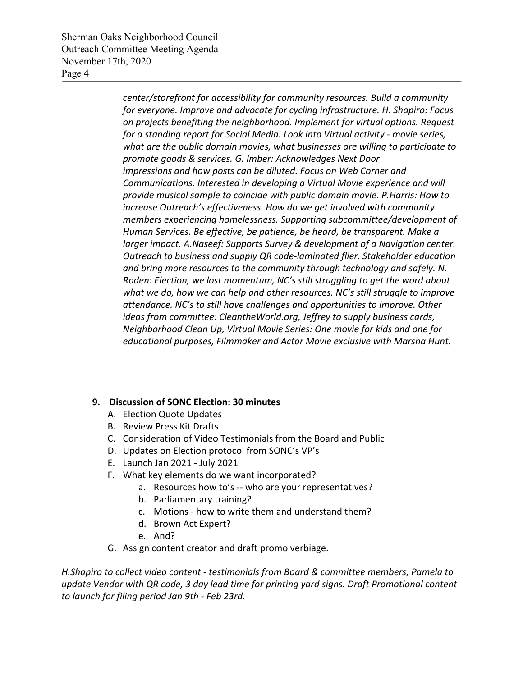Sherman Oaks Neighborhood Council Outreach Committee Meeting Agenda November 17th, 2020 Page 4

> *center/storefront for accessibility for community resources. Build a community for everyone. Improve and advocate for cycling infrastructure. H. Shapiro: Focus on projects benefiting the neighborhood. Implement for virtual options. Request for a standing report for Social Media. Look into Virtual activity - movie series, what are the public domain movies, what businesses are willing to participate to promote goods & services. G. Imber: Acknowledges Next Door impressions and how posts can be diluted. Focus on Web Corner and Communications. Interested in developing a Virtual Movie experience and will provide musical sample to coincide with public domain movie. P.Harris: How to increase Outreach's effectiveness. How do we get involved with community members experiencing homelessness. Supporting subcommittee/development of Human Services. Be effective, be patience, be heard, be transparent. Make a larger impact. A.Naseef: Supports Survey & development of a Navigation center. Outreach to business and supply QR code-laminated flier. Stakeholder education and bring more resources to the community through technology and safely. N. Roden: Election, we lost momentum, NC's still struggling to get the word about what we do, how we can help and other resources. NC's still struggle to improve attendance. NC's to still have challenges and opportunities to improve. Other ideas from committee: CleantheWorld.org, Jeffrey to supply business cards, Neighborhood Clean Up, Virtual Movie Series: One movie for kids and one for educational purposes, Filmmaker and Actor Movie exclusive with Marsha Hunt.*

## **9. Discussion of SONC Election: 30 minutes**

- A. Election Quote Updates
- B. Review Press Kit Drafts
- C. Consideration of Video Testimonials from the Board and Public
- D. Updates on Election protocol from SONC's VP's
- E. Launch Jan 2021 July 2021
- F. What key elements do we want incorporated?
	- a. Resources how to's -- who are your representatives?
	- b. Parliamentary training?
	- c. Motions how to write them and understand them?
	- d. Brown Act Expert?
	- e. And?
- G. Assign content creator and draft promo verbiage.

*H.Shapiro to collect video content - testimonials from Board & committee members, Pamela to update Vendor with QR code, 3 day lead time for printing yard signs. Draft Promotional content to launch for filing period Jan 9th - Feb 23rd.*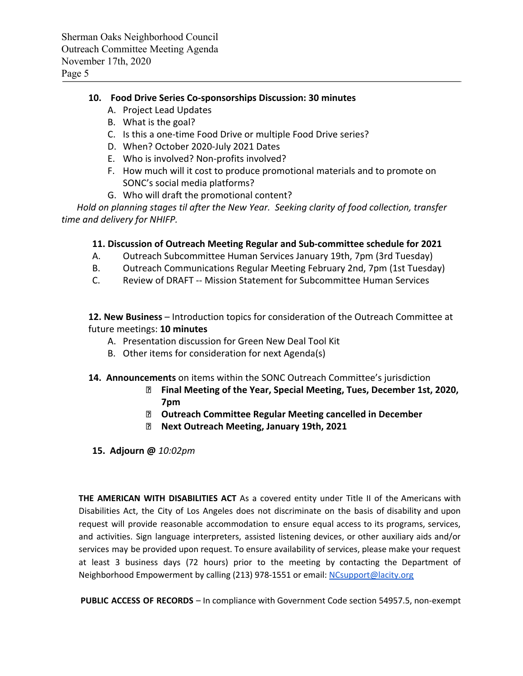## **10. Food Drive Series Co-sponsorships Discussion: 30 minutes**

- A. Project Lead Updates
- B. What is the goal?
- C. Is this a one-time Food Drive or multiple Food Drive series?
- D. When? October 2020-July 2021 Dates
- E. Who is involved? Non-profits involved?
- F. How much will it cost to produce promotional materials and to promote on SONC's social media platforms?
- G. Who will draft the promotional content?

*Hold on planning stages til after the New Year. Seeking clarity of food collection, transfer time and delivery for NHIFP.*

### **11. Discussion of Outreach Meeting Regular and Sub-committee schedule for 2021**

- A. Outreach Subcommittee Human Services January 19th, 7pm (3rd Tuesday)
- B. Outreach Communications Regular Meeting February 2nd, 7pm (1st Tuesday)
- C. Review of DRAFT -- Mission Statement for Subcommittee Human Services

**12. New Business** – Introduction topics for consideration of the Outreach Committee at future meetings: **10 minutes**

- A. Presentation discussion for Green New Deal Tool Kit
- B. Other items for consideration for next Agenda(s)
- **14. Announcements** on items within the SONC Outreach Committee's jurisdiction
	- **Final Meeting of the Year, Special Meeting, Tues, December 1st, 2020, 7pm**
	- **Outreach Committee Regular Meeting cancelled in December**
	- **Next Outreach Meeting, January 19th, 2021**
- **15. Adjourn @** *10:02pm*

**THE AMERICAN WITH DISABILITIES ACT** As a covered entity under Title II of the Americans with Disabilities Act, the City of Los Angeles does not discriminate on the basis of disability and upon request will provide reasonable accommodation to ensure equal access to its programs, services, and activities. Sign language interpreters, assisted listening devices, or other auxiliary aids and/or services may be provided upon request. To ensure availability of services, please make your request at least 3 business days (72 hours) prior to the meeting by contacting the Department of Neighborhood Empowerment by calling (213) 978-1551 or email: [NCsupport@lacity.org](mailto:NCsupport@lacity.org)

**PUBLIC ACCESS OF RECORDS** – In compliance with Government Code section 54957.5, non-exempt